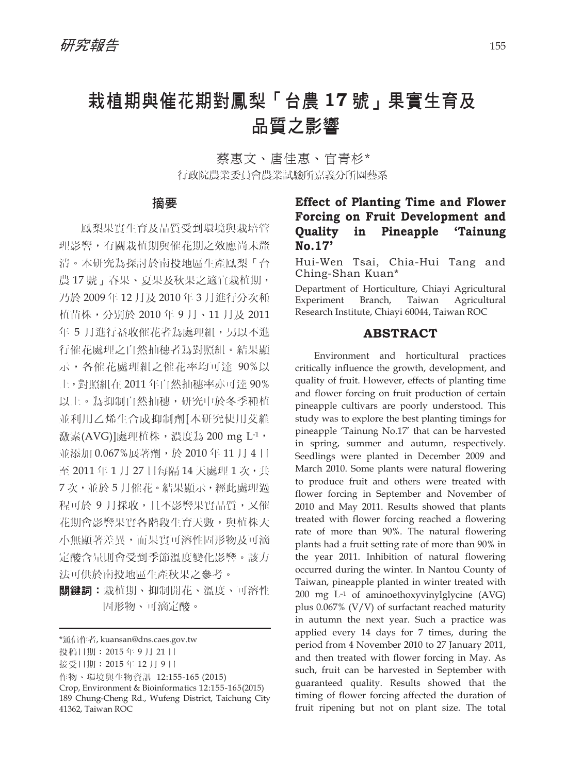# 栽植期與催花期對鳳梨「台農 **17** 號」果實生育及 品質之影響

蔡惠文、唐佳惠、官青杉\* 行政院農業委員會農業試驗所嘉義分所園藝系

#### 摘要

鳳梨果實生育及品質受到環境與栽培管 理影響,有關栽植期與催花期之效應尚未釐 清。本研究為探討於南投地區生產鳳梨「台 農17號」春果、夏果及秋果之適宜栽植期, 乃於 2009 年 12 月及 2010 年 3 月進行分次種 植苗株,分別於 2010 年 9 月、11 月及 2011 年 5 月進行益收催花者為處理組,另以不進 行催花處理之自然抽穗者為對照組。結果顯 示,各催花處理組之催花率均可達 90%以 上,對照組在 2011 年自然抽穗率亦可達 90% 以上。為抑制自然抽穗,研究中於冬季種植 並利用乙烯生合成抑制劑[本研究使用艾維 激素(AVG)]處理植株, 濃度為 200 mg L-1, 並添加 0.067%展著劑,於 2010 年 11 月 4 日 至 2011年1月27日每隔14天處理1次,共 7 次,並於 5 月催花。結果顯示,經此處理過 程可於 9 月採收, 日不影響果實品質, 又催 花期會影響果實各階段生育天數,與植株大 小無顯著差異,而果實可溶性固形物及可滴 定酸含量則會受到季節溫度變化影響。該方 法可供於南投地區生產秋果之參考。

關鍵詞︰栽植期、抑制開花、溫度、可溶性 固形物、可滴定酸。

# **Effect of Planting Time and Flower Forcing on Fruit Development and Quality in Pineapple 'Tainung No.17'**

Hui-Wen Tsai, Chia-Hui Tang and Ching-Shan Kuan\*

Department of Horticulture, Chiayi Agricultural Experiment Branch, Taiwan Agricultural Research Institute, Chiayi 60044, Taiwan ROC

## **ABSTRACT**

Environment and horticultural practices critically influence the growth, development, and quality of fruit. However, effects of planting time and flower forcing on fruit production of certain pineapple cultivars are poorly understood. This study was to explore the best planting timings for pineapple 'Tainung No.17' that can be harvested in spring, summer and autumn, respectively. Seedlings were planted in December 2009 and March 2010. Some plants were natural flowering to produce fruit and others were treated with flower forcing in September and November of 2010 and May 2011. Results showed that plants treated with flower forcing reached a flowering rate of more than 90%. The natural flowering plants had a fruit setting rate of more than 90% in the year 2011. Inhibition of natural flowering occurred during the winter. In Nantou County of Taiwan, pineapple planted in winter treated with 200 mg L–1 of aminoethoxyvinylglycine (AVG) plus 0.067% (V/V) of surfactant reached maturity in autumn the next year. Such a practice was applied every 14 days for 7 times, during the period from 4 November 2010 to 27 January 2011, and then treated with flower forcing in May. As such, fruit can be harvested in September with guaranteed quality. Results showed that the timing of flower forcing affected the duration of fruit ripening but not on plant size. The total

<sup>\*</sup>通信作者, kuansan@dns.caes.gov.tw

投稿日期:2015 年 9 月 21 日

接受日期:2015 年 12 月 9 日

作物、環境與生物資訊 12:155-165 (2015)

Crop, Environment & Bioinformatics 12:155-165(2015) 189 Chung-Cheng Rd., Wufeng District, Taichung City 41362, Taiwan ROC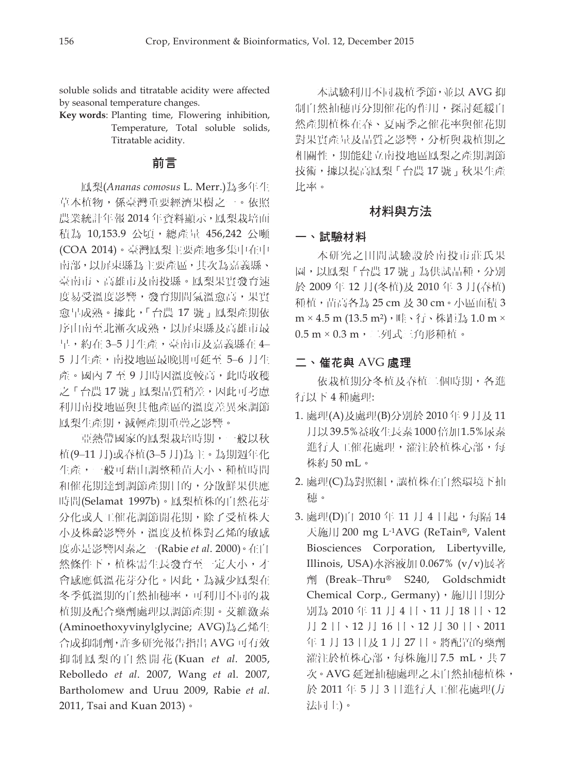soluble solids and titratable acidity were affected by seasonal temperature changes.

**Key words**: Planting time, Flowering inhibition, Temperature, Total soluble solids, Titratable acidity.

## 前言

鳳梨(*Ananas comosus* L. Merr.)為多年生 草本植物,係臺灣重要經濟果樹之一。依照 農業統計年報 2014年資料顯示,鳳梨栽培面 積為 10,153.9 公頃,總產量 456,242 公噸 (COA 2014)。臺灣鳳梨主要產地多集中在中 南部,以屏東縣為主要產區,其次為嘉義縣、 臺南市、高雄市及南投縣。鳳梨果實發育速 度易受溫度影響,發育期間氣溫愈高,果實 愈早成熟。據此,「台農 17 號」鳳梨產期依 序由南至北漸次成熟,以屏東縣及高雄市最 早,約在 3-5 月生產,臺南市及嘉義縣在 4-5 月生產,南投地區最晚則可延至 5-6 月生 產。國內 7 至 9 月時因溫度較高, 此時收穫 之「台農17號」鳳梨品質稍差,因此可考慮 利用南投地區與其他產區的溫度差異來調節 鳳梨生產期,減輕產期重疊之影響。

亞熱帶國家的鳳梨栽培時期,一般以秋 植(9‒11 月)或春植(3‒5 月)為主。為期週年化 生產,一般可藉由調整種苗大小、種植時間 和催花期達到調節產期目的,分散鮮果供應 時間(Selamat 1997b)。鳳梨植株的自然花芽 分化或人工催花調節開花期,除了受植株大 小及株齡影響外,溫度及植株對乙烯的敏感 度亦是影響因素之一(Rabie *et al*. 2000)。在自 然條件下,植株需生長發育至一定大小,才 會感應低溫花芽分化。因此,為減少鳳梨在 冬季低溫期的自然抽穗率,可利用不同的栽 植期及配合藥劑處理以調節產期。艾維激素 (Aminoethoxyvinylglycine; AVG)為乙烯生 合成抑制劑,許多研究報告指出 AVG 可有效 抑制鳳梨的自然開花 (Kuan *et al*. 2005, Rebolledo *et al*. 2007, Wang *et a*l. 2007, Bartholomew and Uruu 2009, Rabie *et al*. 2011, Tsai and Kuan 2013)。

本試驗利用不同栽植季節,並以 AVG 抑 制自然抽穗再分期催花的作用,探討延緩自 然產期植株在春、夏兩季之催花率與催花期 對果實產量及品質之影響,分析與栽植期之 相關性,期能建立南投地區鳳梨之產期調節 技術,據以提高鳳梨「台農 17 號」秋果生產 比率。

## 材料與方法

## 一、試驗材料

本研究之田間試驗設於南投市莊氏果 園,以鳳梨「台農 17 號」為供試品種,分別 於 2009 年 12 月(冬植)及 2010 年 3 月(春植) 種植,苗高各為 25 cm 及 30 cm。小區面積 3  $m \times 4.5$  m  $(13.5 \text{ m}^2)$ , 畦、行、株距為 1.0 m × 0.5 m × 0.3 m,二列式三角形種植。

#### 二、催花與 AVG 處理

依栽植期分冬植及春植二個時期,各進 行以下 4 種處理:

- 1. 處理(A)及處理(B)分別於 2010 年 9 月及 11 月以 39.5%益收生長素 1000 倍加 1.5%尿素 進行人工催花處理,灌注於植株心部,每 株約 50 mL。
- 2. 處理(C)為對照組,讓植株在自然環境下抽 穗。
- 3. 處理(D)自 2010 年 11 月 4 日起,每隔 14 天施用 200 mg L-1AVG (ReTain®, Valent Biosciences Corporation, Libertyville, Illinois, USA)水溶液加 0.067% (v/v)展著 劑 (Break‒Thru® S240, Goldschmidt Chemical Corp., Germany), 施用日期分 別為 2010 年 11 月 4 日、11 月 18 日、12 月 2 日、12 月 16 日、12 月 30 日、2011 年 1 月 13 日及 1 月 27 日。將配置的藥劑 灌注於植株心部,每株施用 7.5 mL,共 7 次。AVG 延遲抽穗處理之未自然抽穗植株, 於 2011 年 5 月 3 日進行人工催花處理(方 法同上)。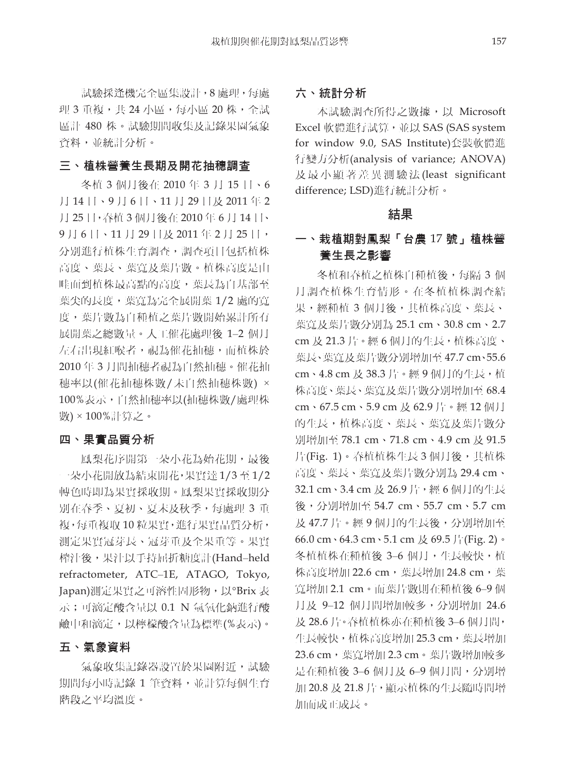試驗採逢機完全區集設計,8 處理,每處 理 3 重複,共 24 小區,每小區 20 株,全試 區計 480 株。試驗期間收集及記錄果園氣象 資料,並統計分析。

#### 三、植株營養生長期及開花抽穗調查

冬植 3 個月後在 2010 年 3 月 15 日、6 月 14 日、9 月 6 日、11 月 29 日及 2011 年 2 月 25 日,春植 3 個月後在 2010 年 6 月 14 日、 9月6日、11月29日及2011年2月25日, 分別進行植株生育調查,調查項目包括植株 高度、葉長、葉寬及葉片數。植株高度是由 畦面到植株最高點的高度,葉長為自基部至 葉尖的長度,葉寬為完全展開葉 1/2 處的寬 度,葉片數為自種植之葉片數開始累計所有 展開葉之總數量。人工催花處理後 1‒2 個月 左右出現紅喉者, 視為催花抽穗, 而植株於 2010 年 3 月間抽穗者視為自然抽穗。催花抽 穗率以(催花抽穗株數/未自然抽穗株數) × 100%表示,自然抽穗率以(抽穗株數/處理株 數) × 100%計算之。

#### 四、果實品質分析

鳳梨花序開第一朵小花為始花期,最後 一朵小花開放為結束開花,果實達 1/3 至 1/2 轉色時即為果實採收期。鳳梨果實採收期分 別在春季、夏初、夏末及秋季,每處理 3 重 複,每重複取 10 粒果實,進行果實品質分析, 測定果實冠芽長、冠芽重及全果重等。果實 榨汁後,果汁以手持屈折糖度計(Hand‒held refractometer, ATC-1E, ATAGO, Tokyo, Japan)測定果實之可溶性固形物, 以°Brix 表 示;可滴定酸含量以 0.1 N 氫氧化鈉進行酸 鹼中和滴定,以檸檬酸含量為標準(%表示)。

#### 五、氣象資料

氣象收集記錄器設置於果園附近,試驗 期間每小時記錄 1 筆資料,並計算每個生育 階段之平均溫度。

#### 六、統計分析

本試驗調查所得之數據,以 Microsoft Excel 軟體進行試算,並以 SAS (SAS system for window 9.0, SAS Institute)套裝軟體進 行變方分析(analysis of variance; ANOVA) 及最小顯著差異測驗法 (least significant difference; LSD)進行統計分析。

## 結果

# 一、栽植期對鳳梨「台農 17 號」植株營 養生長之影響

冬植和春植之植株自種植後,每隔 3 個 月調查植株生育情形。在冬植植株調查結 果,經種植 3 個月後,其植株高度、葉長、 葉寬及葉片數分別為 25.1 cm、30.8 cm、2.7 cm 及 21.3 片。經 6 個月的生長,植株高度、 葉長、葉寬及葉片數分別增加至 47.7 cm、55.6 cm、4.8 cm 及 38.3 片。經 9 個月的生長, 植 株高度、葉長、葉寬及葉片數分別增加至 68.4 cm、67.5 cm、5.9 cm 及 62.9 片。經 12 個月 的生長,植株高度、葉長、葉寬及葉片數分 別增加至 78.1 cm、71.8 cm、4.9 cm 及 91.5 片(Fig. 1)。春植植株生長 3 個月後,其植株 高度、葉長、葉寬及葉片數分別為 29.4 cm、 32.1 cm、3.4 cm 及 26.9 片, 經 6 個月的生長 後,分別增加至 54.7 cm、55.7 cm、5.7 cm 及 47.7 片。經 9 個月的生長後,分別增加至 66.0 cm、64.3 cm、5.1 cm 及 69.5 片(Fig. 2)。 冬植植株在種植後 3–6 個月,生長較快,植 株高度增加 22.6 cm, 葉長增加 24.8 cm, 葉 寬增加 2.1 cm。而葉片數則在種植後 6‒9 個 月及 9–12 個月間增加較多,分別增加 24.6 及 28.6 片。春植植株亦在種植後 3‒6 個月間, 生長較快,植株高度增加 25.3 cm,葉長增加 23.6 cm,葉寬增加 2.3 cm。葉片數增加較多 是在種植後 3-6 個月及 6-9 個月間,分別增 加 20.8 及 21.8 片,顯示植株的生長隨時間增 加而成正成長。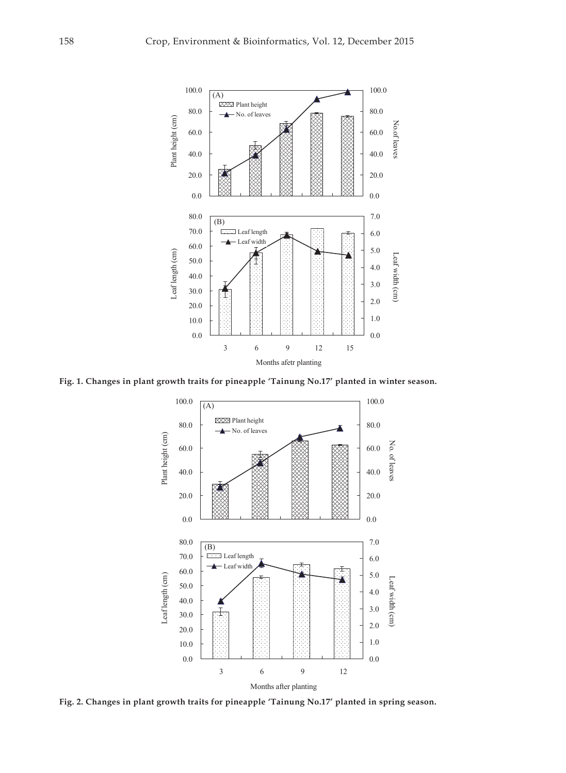

**Fig. 1. Changes in plant growth traits for pineapple 'Tainung No.17' planted in winter season.** 



**Fig. 2. Changes in plant growth traits for pineapple 'Tainung No.17' planted in spring season.**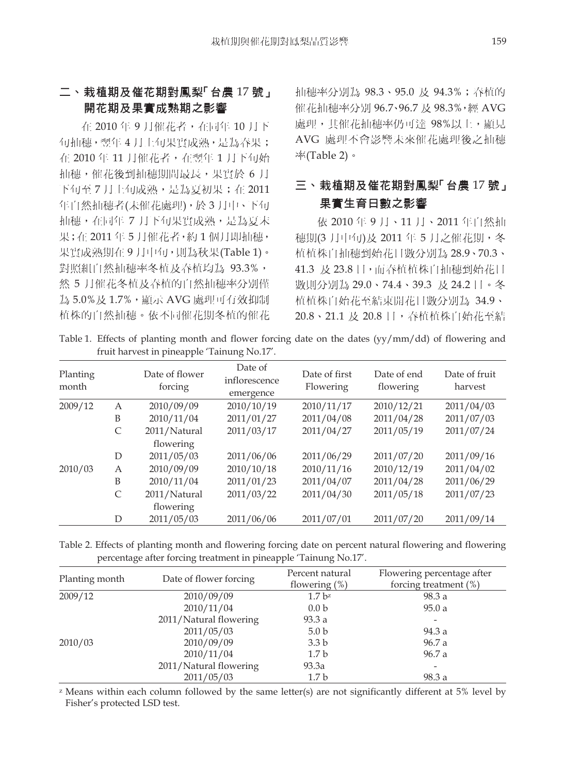# 二、栽植期及催花期對鳳梨「台農 17 號」 開花期及果實成熟期之影響

在 2010 年 9 月催花者,在同年 10 月下 旬抽穗,翌年 4 月上旬果實成熟,是為春果; 在 2010年11月催花者,在翌年1月下旬始 抽穗,催花後到抽穗期間最長,果實於 6 月 下旬至 7 月上旬成熟,是為夏初果;在 2011 年自然抽穗者(未催花處理),於 3 月中、下旬 抽穗,在同年 7 月下旬果實成熟,是為夏末 果;在 2011年5月催花者,約1個月即抽穗, 果實成熟期在 9 月中旬,則為秋果(Table 1)。 對照組自然抽穗率冬植及春植均為 93.3%, 然 5 月催花冬植及春植的自然抽穗率分別僅 為 5.0%及 1.7%,顯示 AVG 處理可有效抑制 植株的自然抽穗。依不同催花期冬植的催花 抽穗率分別為 98.3、95.0 及 94.3%;春植的 催花抽穗率分別 96.7、96.7 及 98.3%,經 AVG 處理,其催花抽穗率仍可達 98%以上,顯見 AVG 處理不會影響未來催花處理後之抽穗 率(Table 2)。

# 三、栽植期及催花期對鳳梨「台農 17號」 果實生育日數之影響

依 2010 年 9 月、11 月、2011 年自然抽 穂期(3月中旬)及 2011 年 5月之催花期, 冬 植植株自抽穗到始花日數分別為 28.9、70.3、 41.3 及 23.8 日,而春植植株自抽穗到始花日 數則分別為 29.0、74.4、39.3 及 24.2 日。冬 植植株自始花至結束開花日數分別為 34.9、 20.8、21.1 及 20.8 日,春植植株自始花至結

Table 1. Effects of planting month and flower forcing date on the dates (yy/mm/dd) of flowering and fruit harvest in pineapple 'Tainung No.17'.

| Planting<br>month |              | Date of flower<br>forcing | Date of<br>inflorescence<br>emergence | Date of first<br>Flowering | Date of end<br>flowering | Date of fruit<br>harvest |
|-------------------|--------------|---------------------------|---------------------------------------|----------------------------|--------------------------|--------------------------|
| 2009/12           | A            | 2010/09/09                | 2010/10/19                            | 2010/11/17                 | 2010/12/21               | 2011/04/03               |
|                   | B            | 2010/11/04                | 2011/01/27                            | 2011/04/08                 | 2011/04/28               | 2011/07/03               |
|                   | $\mathsf{C}$ | 2011/Natural              | 2011/03/17                            | 2011/04/27                 | 2011/05/19               | 2011/07/24               |
|                   |              | flowering                 |                                       |                            |                          |                          |
|                   | D            | 2011/05/03                | 2011/06/06                            | 2011/06/29                 | 2011/07/20               | 2011/09/16               |
| 2010/03           | A            | 2010/09/09                | 2010/10/18                            | 2010/11/16                 | 2010/12/19               | 2011/04/02               |
|                   | B            | 2010/11/04                | 2011/01/23                            | 2011/04/07                 | 2011/04/28               | 2011/06/29               |
|                   | $\mathsf{C}$ | 2011/Natural              | 2011/03/22                            | 2011/04/30                 | 2011/05/18               | 2011/07/23               |
|                   |              | flowering                 |                                       |                            |                          |                          |
|                   | D            | 2011/05/03                | 2011/06/06                            | 2011/07/01                 | 2011/07/20               | 2011/09/14               |

Table 2. Effects of planting month and flowering forcing date on percent natural flowering and flowering percentage after forcing treatment in pineapple 'Tainung No.17'.

| Planting month | Date of flower forcing | Percent natural<br>flowering $(\%)$ | Flowering percentage after<br>forcing treatment $(\%)$ |
|----------------|------------------------|-------------------------------------|--------------------------------------------------------|
| 2009/12        | 2010/09/09             | 1.7 <sup>bz</sup>                   | 98.3 a                                                 |
|                | 2010/11/04             | 0.0 <sub>b</sub>                    | 95.0a                                                  |
|                | 2011/Natural flowering | 93.3a                               |                                                        |
|                | 2011/05/03             | 5.0 <sub>b</sub>                    | 94.3 a                                                 |
| 2010/03        | 2010/09/09             | 3.3 <sub>b</sub>                    | 96.7 a                                                 |
|                | 2010/11/04             | 1.7 <sub>b</sub>                    | 96.7 a                                                 |
|                | 2011/Natural flowering | 93.3a                               |                                                        |
|                | 2011/05/03             | 1.7 <sub>b</sub>                    | 98.3 a                                                 |

z Means within each column followed by the same letter(s) are not significantly different at 5% level by Fisher's protected LSD test.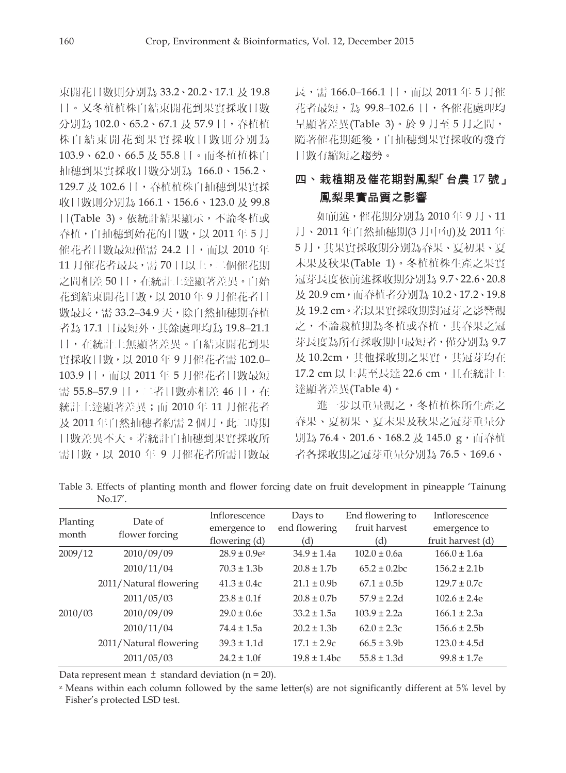束開花日數則分別為 33.2、20.2、17.1 及 19.8 日。又冬植植株自結束開花到果實採收日數 分別為 102.0、65.2、67.1 及 57.9 日,春植植 株自結束開花到果實採收日數則分別為 103.9、62.0、66.5 及 55.8 日。而冬植植株自 抽穗到果實採收日數分別為 166.0、156.2、 129.7 及 102.6 日,春植植株自抽穗到果實採 收日數則分別為 166.1、156.6、123.0 及 99.8 日(Table 3)。依統計結果顯示,不論冬植或 春植,自抽穗到始花的日數,以 2011年5月 催花者日數最短僅需 24.2 日,而以 2010年 11 月催花者最長,需 70 日以上,二個催花期 之間相差 50 日,在統計上達顯著差異。自始 花到結束開花日數,以 2010 年 9 月催花者日 數最長,需 33.2-34.9 天,除自然抽穗期春植 者為 17.1 日最短外,其餘處理均為 19.8‒21.1 日,在統計上無顯著差異。自結束開花到果 實採收日數,以 2010 年 9 月催花者需 102.0‒ 103.9 日,而以 2011 年 5 月催花者日數最短 需 55.8-57.9 日,二者日數亦相差 46 日,在 統計上達顯著差異;而 2010 年 11 月催花者 及 2011 年自然抽穗者約需 2 個月,此二時期 日數差異不大。若統計自抽穗到果實採收所 需日數,以 2010 年 9 月催花者所需日數最

長,需 166.0–166.1 日,而以 2011 年 5 月催 花者最短,為 99.8‒102.6 日,各催花處理均 呈顯著差異(Table 3)。於 9 月至 5 月之間, 隨著催花期延後,自抽穗到果實採收的發育 日數有縮短之趨勢。

# 四、栽植期及催花期對鳳梨「台農 17號」 鳳梨果實品質之影響

如前述,催花期分別為 2010 年 9 月、11 月、2011 年自然抽穗期(3 月中旬)及 2011 年 5 月,其果實採收期分別為春果、夏初果、夏 末果及秋果(Table 1)。冬植植株生產之果實 冠芽長度依前述採收期分別為 9.7、22.6、20.8 及 20.9 cm,而春植者分別為 10.2、17.2、19.8 及 19.2 cm。若以果實採收期對冠芽之影響觀 之,不論栽植期為冬植或春植,其春果之冠 芽長度為所有採收期中最短者,僅分別為 9.7 及 10.2cm, 其他採收期之果實, 其冠芽均在 17.2 cm 以上甚至長達 22.6 cm, 日在統計上 達顯著差異(Table 4)。

進一步以重量觀之,冬植植株所生產之 春果、夏初果、夏末果及秋果之冠芽重量分 別為 76.4、201.6、168.2 及 145.0 g,而春植 者各採收期之冠芽重量分別為 76.5、169.6、

Table 3. Effects of planting month and flower forcing date on fruit development in pineapple 'Tainung No.17'.

| Planting<br>month | Date of<br>flower forcing | Inflorescence<br>emergence to<br>flowering (d) | Days to<br>end flowering<br>(d) | End flowering to<br>fruit harvest<br>'d) | Inflorescence<br>emergence to<br>fruit harvest (d) |
|-------------------|---------------------------|------------------------------------------------|---------------------------------|------------------------------------------|----------------------------------------------------|
| 2009/12           | 2010/09/09                | $28.9 \pm 0.9e^{z}$                            | $34.9 \pm 1.4a$                 | $102.0 \pm 0.6a$                         | $166.0 \pm 1.6a$                                   |
|                   | 2010/11/04                | $70.3 \pm 1.3b$                                | $20.8 \pm 1.7$                  | $65.2 \pm 0.2$ bc                        | $156.2 \pm 2.1$                                    |
|                   | 2011/Natural flowering    | $41.3 \pm 0.4c$                                | $21.1 \pm 0.9$                  | $67.1 \pm 0.5$                           | $129.7 \pm 0.7c$                                   |
|                   | 2011/05/03                | $23.8 \pm 0.1$ f                               | $20.8 \pm 0.7$ b                | $57.9 \pm 2.2d$                          | $102.6 \pm 2.4e$                                   |
| 2010/03           | 2010/09/09                | $29.0 \pm 0.6$ e                               | $33.2 \pm 1.5a$                 | $103.9 \pm 2.2a$                         | $166.1 \pm 2.3a$                                   |
|                   | 2010/11/04                | $74.4 \pm 1.5a$                                | $20.2 \pm 1.3$                  | $62.0 \pm 2.3c$                          | $156.6 \pm 2.5$                                    |
|                   | 2011/Natural flowering    | $39.3 \pm 1.1d$                                | $17.1 \pm 2.9c$                 | $66.5 \pm 3.9$                           | $123.0 \pm 4.5d$                                   |
|                   | 2011/05/03                | $24.2 \pm 1.0$ f                               | $19.8 \pm 1.4$ bc               | $55.8 \pm 1.3d$                          | $99.8 \pm 1.7$ e                                   |

Data represent mean  $\pm$  standard deviation (n = 20).

z Means within each column followed by the same letter(s) are not significantly different at 5% level by Fisher's protected LSD test.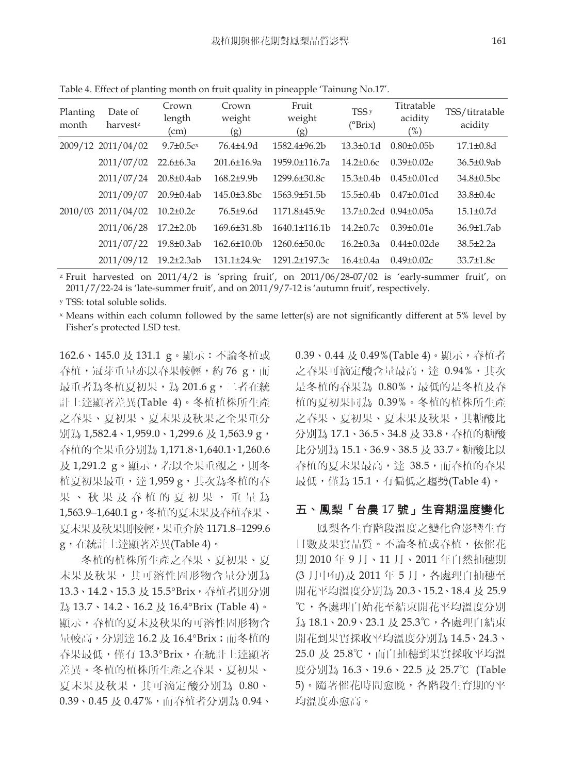| Planting<br>month | Date of<br>harvestz | Crown<br>length<br>(cm) | Crown<br>weight<br>(g) | Fruit<br>weight<br>(g) | TSS <sub>y</sub><br>$(^{\circ}Brix)$ | Titratable<br>acidity<br>$\frac{9}{6}$ | TSS/titratable<br>acidity |
|-------------------|---------------------|-------------------------|------------------------|------------------------|--------------------------------------|----------------------------------------|---------------------------|
|                   | 2009/12 2011/04/02  | $9.7 \pm 0.5c$          | 76.4±4.9d              | $1582.4 \pm 96.2 b$    | $13.3 \pm 0.1d$                      | $0.80\pm0.05b$                         | $17.1 \pm 0.8$ d          |
|                   | 2011/07/02          | $22.6 \pm 6.3a$         | $201.6 \pm 16.9a$      | 1959.0±116.7a          | $14.2 \pm 0.6c$                      | $0.39 \pm 0.02e$                       | $36.5 \pm 0.9$ ab         |
|                   | 2011/07/24          | $20.8 \pm 0.4$ ab       | $168.2{\pm}9.9b$       | 1299.6±30.8c           | $15.3 \pm 0.4 b$                     | $0.45 \pm 0.01$ cd                     | $34.8\pm0.5$ bc           |
|                   | 2011/09/07          | $20.9 \pm 0.4$ ab       | $145.0\pm3.8bc$        | $1563.9 \pm 51.5$ b    | $15.5 \pm 0.4 b$                     | $0.47 \pm 0.01$ cd                     | $33.8 \pm 0.4c$           |
| 2010/03           | 2011/04/02          | $10.2 \pm 0.2c$         | $76.5+9.6d$            | 1171.8±45.9c           | 13.7±0.2cd 0.94±0.05a                |                                        | $15.1 \pm 0.7$ d          |
|                   | 2011/06/28          | $17.2 \pm 2.0$          | $169.6\pm31.8b$        | $1640.1\pm116.1b$      | $14.2 \pm 0.7c$                      | $0.39 \pm 0.01e$                       | $36.9 \pm 1.7$ ab         |
|                   | 2011/07/22          | $19.8 \pm 0.3$ ab       | $162.6 \pm 10.0$       | $1260.6 \pm 50.0c$     | $16.2 \pm 0.3a$                      | $0.44 \pm 0.02$ de                     | $38.5 \pm 2.2a$           |
|                   | 2011/09/12          | $19.2 \pm 2.3$ ab       | $131.1 \pm 24.9c$      | 1291.2±197.3c          | $16.4 \pm 0.4a$                      | $0.49 \pm 0.02c$                       | $33.7{\pm}1.8c$           |

Table 4. Effect of planting month on fruit quality in pineapple 'Tainung No.17'.

z Fruit harvested on 2011/4/2 is 'spring fruit', on 2011/06/28-07/02 is 'early-summer fruit', on 2011/7/22-24 is 'late-summer fruit', and on 2011/9/7-12 is 'autumn fruit', respectively.

y TSS: total soluble solids.

x Means within each column followed by the same letter(s) are not significantly different at 5% level by Fisher's protected LSD test.

162.6、145.0 及 131.1 g。顯示:不論冬植或 春植,冠芽重量亦以春果較輕,約 76 g,而 最重者為冬植夏初果,為 201.6 g,二者在統 計上達顯著差異(Table 4)。冬植植株所生產 之春果、夏初果、夏末果及秋果之全果重分 別為 1,582.4、1,959.0、1,299.6 及 1,563.9 g, 春植的全果重分別為 1,171.8、1,640.1、1,260.6 及 1,291.2 g。顯示,若以全果重觀之,則冬 植夏初果最重,達 1,959 g,其次為冬植的春 果、秋果及春植的夏初果,重量為 1,563.9-1,640.1 g,冬植的夏末果及春植春果、 夏末果及秋果則較輕,果重介於 1171.8-1299.6 g,在統計上達顯著差異(Table 4)。

冬植的植株所生產之春果、夏初果、夏 末果及秋果,其可溶性固形物含量分別為 13.3、14.2、15.3 及 15.5°Brix, 春植者則分別 為 13.7、14.2、16.2 及 16.4°Brix (Table 4)。 顯示,春植的夏末及秋果的可溶性固形物含 量較高,分別達 16.2 及 16.4°Brix;而冬植的 春果最低,僅有 13.3°Brix,在統計上達顯著 差異。冬植的植株所生產之春果、夏初果、 夏末果及秋果,其可滴定酸分別為 0.80、 0.39、0.45 及 0.47%,而春植者分別為 0.94、

0.39、0.44 及 0.49%(Table 4)。顯示,春植者 之春果可滴定酸含量最高,達 0.94%,其次 是冬植的春果為 0.80%,最低的是冬植及春 植的夏初果同為 0.39%。冬植的植株所生產 之春果、夏初果、夏末果及秋果,其糖酸比 分別為 17.1、36.5、34.8 及 33.8, 春植的糖酸 比分別為 15.1、36.9、38.5 及 33.7。糖酸比以 春植的夏末果最高,達 38.5,而春植的春果 最低,僅為 15.1,有偏低之趨勢(Table 4)。

#### 五、鳳梨「台農 17 號」生育期溫度變化

鳳梨各生育階段溫度之變化會影響生育 日數及果實品質。不論冬植或春植,依催花 期 2010 年 9 月、11 月、2011 年自然抽穗期 (3 月中旬)及 2011 年 5 月,各處理自抽穗至 開花平均溫度分別為 20.3、15.2、18.4 及 25.9 ℃,各處理自始花至結束開花平均溫度分別 為 18.1、20.9、23.1 及 25.3℃,各處理自結束 開花到果實採收平均溫度分別為 14.5、24.3、 25.0 及 25.8℃,而自抽穗到果實採收平均溫 度分別為 16.3、19.6、22.5 及 25.7℃ (Table 5)。隨著催花時間愈晚,各階段生育期的平 均溫度亦愈高。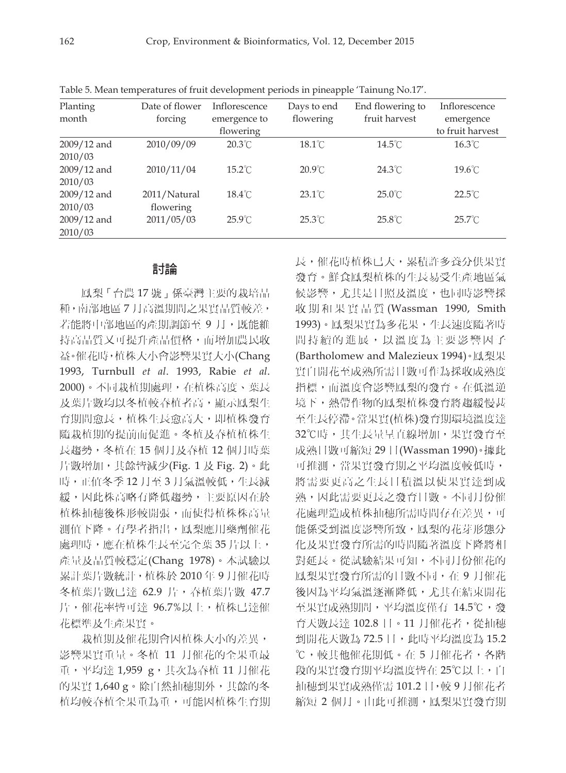| Planting      | Date of flower | Inflorescence    | Days to end      | End flowering to | Inflorescence    |
|---------------|----------------|------------------|------------------|------------------|------------------|
| month         | forcing        | emergence to     | flowering        | fruit harvest    | emergence        |
|               |                | flowering        |                  |                  | to fruit harvest |
| $2009/12$ and | 2010/09/09     | $20.3^{\circ}$ C | $18.1^{\circ}$ C | $14.5^{\circ}$ C | $16.3^{\circ}$ C |
| 2010/03       |                |                  |                  |                  |                  |
| 2009/12 and   | 2010/11/04     | $15.2^{\circ}$ C | $20.9^{\circ}$ C | $24.3^{\circ}$ C | $19.6^{\circ}$ C |
| 2010/03       |                |                  |                  |                  |                  |
| 2009/12 and   | 2011/Natural   | $18.4^{\circ}$ C | $23.1^{\circ}$ C | $25.0^{\circ}$ C | $22.5^{\circ}$ C |
| 2010/03       | flowering      |                  |                  |                  |                  |
| $2009/12$ and | 2011/05/03     | $25.9^{\circ}$ C | $25.3^{\circ}$ C | $25.8^{\circ}$ C | $25.7^{\circ}$ C |
| 2010/03       |                |                  |                  |                  |                  |

Table 5. Mean temperatures of fruit development periods in pineapple 'Tainung No.17'.

#### 討論

鳳梨「台農 17 號」係臺灣主要的栽培品 種,南部地區 7 月高溫期間之果實品質較差, 若能將中部地區的產期調節至9月,既能維 持高品質又可提升產品價格,而增加農民收 益。催花時,植株大小會影響果實大小(Chang 1993, Turnbull *et al*. 1993, Rabie *et al*. 2000)。不同栽植期處理,在植株高度、葉長 及葉片數均以冬植較春植者高,顯示鳳梨生 育期間愈長,植株生長愈高大,即植株發育 隨栽植期的提前而促進。冬植及春植植株生 長趨勢,冬植在 15 個月及春植 12 個月時葉 片數增加,其餘皆減少(Fig. 1 及 Fig. 2)。此 時,正值冬季12月至3月氣溫較低,生長減 緩,因此株高略有降低趨勢,主要原因在於 植株抽穗後株形較開張,而使得植株株高量 測值下降。有學者指出,鳳梨應用藥劑催花 處理時,應在植株生長至完全葉 35 片以上, 產量及品質較穩定(Chang 1978)。本試驗以 累計葉片數統計,植株於 2010 年 9 月催花時 冬植葉片數已達 62.9 片,春植葉片數 47.7 片,催花率皆可達 96.7%以上, 植株已達催 花標準及生產果實。

栽植期及催花期會因植株大小的差異, 影響果實重量。冬植 11 月催花的全果重最 重,平均達 1,959 g,其次為春植 11 月催花 的果實 1,640 g。除自然抽穗期外,其餘的冬 植均較春植全果重為重,可能因植株生育期 長,催花時植株已大,累積許多養分供果實 發育。鮮食鳳梨植株的生長易受生產地區氣 候影響,尤其是日照及溫度,也同時影響採 收期和果實品質 (Wassman 1990, Smith 1993)。鳳梨果實為多花果,生長速度隨著時 間持續的進展,以溫度為主要影響因子 (Bartholomew and Malezieux 1994)。鳳梨果 實自開花至成熟所需日數可作為採收成熟度 指標,而溫度會影響鳳梨的發育。在低溫逆 境下,熱帶作物的鳳梨植株發育將趨緩慢甚 至生長停滯。當果實(植株)發育期環境溫度達 32℃時,其生長量呈直線增加,果實發育至 成熟日數可縮短 29 日(Wassman 1990)。據此 可推測,當果實發育期之平均溫度較低時, 將需要更高之生長日積溫以使果實達到成 熟,因此需要更長之發育日數。不同月份催 花處理造成植株抽穗所需時間存在差異,可 能係受到溫度影響所致,鳳梨的花芽形態分 化及果實發育所需的時間隨著溫度下降將相 對延長。從試驗結果可知,不同月份催花的 鳳梨果實發育所需的日數不同, 在 9 月催花 後因為平均氣溫逐漸降低,尤其在結束開花 至果實成熟期間,平均溫度僅有 14.5℃,發 育天數長達 102.8 日。11 月催花者,從抽穗 到開花天數為 72.5 日,此時平均溫度為 15.2 ℃,較其他催花期低。在 5 月催花者,各階 段的果實發育期平均溫度皆在 25℃以上,自 抽穗到果實成熟僅需 101.2 日,較 9 月催花者 縮短 2 個月。由此可推測,鳳梨果實發育期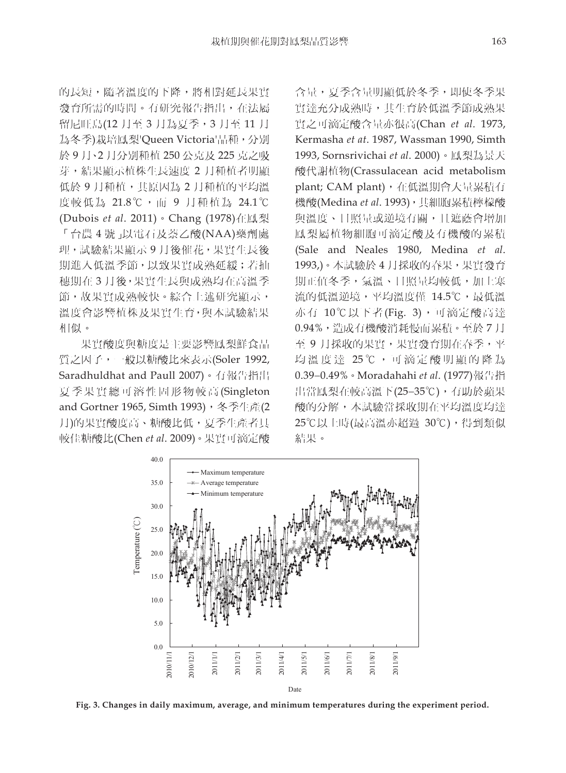的長短,隨著溫度的下降,將相對延長果實 發育所需的時間。有研究報告指出,在法屬 留尼旺島(12 月至 3 月為夏季,3 月至 11 月 為冬季)栽培鳳梨'Queen Victoria'品種,分別 於 9 月、2 月分別種植 250 公克及 225 克之吸 芽,結果顯示植株生長速度 2 月種植者明顯 低於 9 月種植,其原因為 2 月種植的平均溫 度較低為 21.8℃,而 9 月種植為 24.1℃ (Dubois *et al*. 2011)。Chang (1978)在鳳梨 「台農 4 號」以電石及萘乙酸(NAA)藥劑處 理,試驗結果顯示 9 月後催花, 果實生長後 期進入低溫季節,以致果實成熟延緩;若抽 穗期在 3 月後,果實生長與成熟均在高溫季 節,故果實成熟較快。綜合上述研究顯示, 溫度會影響植株及果實生育,與本試驗結果 相似。

果實酸度與糖度是主要影響鳳梨鮮食品 質之因子,一般以糖酸比來表示(Soler 1992, Saradhuldhat and Paull 2007)。有報告指出 夏季果實總可溶性固形物較高 (Singleton and Gortner 1965, Simth 1993), 冬季生產(2 月)的果實酸度高、糖酸比低,夏季生產者具 較佳糖酸比(Chen *et al*. 2009)。果實可滴定酸

含量,夏季含量明顯低於冬季,即使冬季果 實達充分成熟時,其生育於低溫季節成熟果 實之可滴定酸含量亦很高(Chan *et al*. 1973, Kermasha *et at*. 1987, Wassman 1990, Simth 1993, Sornsrivichai *et al*. 2000)。鳳梨為景天 酸代謝植物(Crassulacean acid metabolism plant; CAM plant), 在低溫期會大量累積有 機酸(Medina *et al*. 1993),其細胞累積檸檬酸 與溫度、日照量或逆境有關, 且遮蔭會增加 鳳梨屬植物細胞可滴定酸及有機酸的累積 (Sale and Neales 1980, Medina *et al*. 1993,)。本試驗於 4 月採收的春果,果實發育 期正值冬季,氣溫、日照量均較低,加上寒 流的低溫逆境,平均溫度僅 14.5℃,最低溫 亦有 10℃以下者(Fig. 3),可滴定酸高達 0.94%,造成有機酸消耗慢而累積。至於 7 月 至 9 月採收的果實,果實發育期在春季,平 均溫度達 25℃,可滴定酸明顯的降為 0.390.49%。Moradahahi *et al*. (1977)報告指 出當鳳梨在較高溫下(25-35℃), 有助於蘋果 酸的分解,本試驗當採收期在平均溫度均達 25℃以上時(最高溫亦超過 30℃),得到類似 結果。



**Fig. 3. Changes in daily maximum, average, and minimum temperatures during the experiment period.**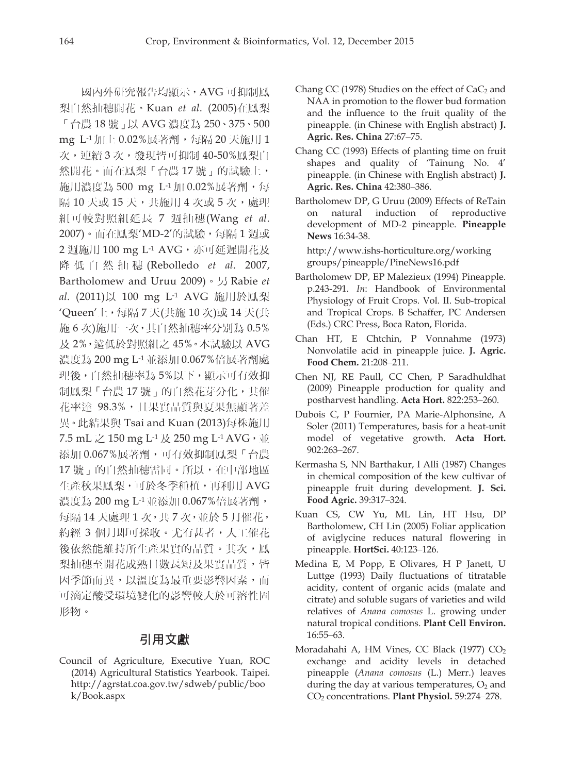國內外研究報告均顯示,AVG 可抑制鳳 梨自然抽穗開花。Kuan *et al*. (2005)在鳳梨 「台農 18 號」以 AVG 濃度為 250、375、500 mg L-1加上 0.02%展著劑, 每隔 20 天施用 1 次,連續 3 次,發現皆可抑制 40-50%鳳梨自 然開花。而在鳳梨「台農17號」的試驗上, 施用濃度為 500 mg L-1 加 0.02%展著劑,每 隔 10 天或 15 天,共施用 4 次或 5 次,處理 組可較對照組延長 7 週抽穗(Wang *et al*. 2007)。而在鳳梨'MD-2'的試驗,每隔 1 週或 2 週施用 100 mg L<sup>-1</sup> AVG, 亦可延遲開花及 降低自然抽穗 (Rebolledo *et al*. 2007, Bartholomew and Uruu 2009)。另 Rabie *et al.* (2011)以 100 mg L-1 AVG 施用於鳳梨 'Queen'上,每隔 7 天(共施 10 次)或 14 天(共 施 6 次)施用一次,其自然抽穗率分別為 0.5% 及 2%,遠低於對照組之 45%。本試驗以 AVG 濃度為 200 mg L-1 並添加 0.067%倍展著劑處 理後,自然抽穗率為 5%以下,顯示可有效抑 制鳳梨「台農17號」的自然花芽分化,其催 花率達 98.3%,且果實品質與夏果無顯著差 異。此結果與 Tsai and Kuan (2013)每株施用 7.5 mL 之 150 mg L<sup>-1</sup> 及 250 mg L<sup>-1</sup> AVG, 並 添加 0.067%展著劑,可有效抑制鳳梨「台農 17 號」的自然抽穗雷同。所以,在中部地區 生產秋果鳳梨,可於冬季種植,再利用 AVG 濃度為 200 mg L<sup>-1</sup> 並添加 0.067%倍展著劑, 每隔 14 天處理 1 次,共 7 次,並於 5 月催花, 約經 3 個月即可採收。尤有甚者,人工催花 後依然能維持所生產果實的品質。其次,鳳 梨抽穗至開花成熟日數長短及果實品質,皆 因季節而異,以溫度為最重要影響因素,而 可滴定酸受環境變化的影響較大於可溶性固 形物。

## 引用文獻

Council of Agriculture, Executive Yuan, ROC (2014) Agricultural Statistics Yearbook. Taipei. http://agrstat.coa.gov.tw/sdweb/public/boo k/Book.aspx

- Chang CC (1978) Studies on the effect of  $CaC<sub>2</sub>$  and NAA in promotion to the flower bud formation and the influence to the fruit quality of the pineapple. (in Chinese with English abstract) **J. Agric. Res. China** 27:67‒75.
- Chang CC (1993) Effects of planting time on fruit shapes and quality of 'Tainung No. 4' pineapple. (in Chinese with English abstract) **J. Agric. Res. China** 42:380‒386.
- Bartholomew DP, G Uruu (2009) Effects of ReTain on natural induction of reproductive development of MD-2 pineapple. **Pineapple News** 16:34-38.

http://www.ishs-horticulture.org/working groups/pineapple/PineNews16.pdf

- Bartholomew DP, EP Malezieux (1994) Pineapple. p.243-291. *In*: Handbook of Environmental Physiology of Fruit Crops. Vol. II. Sub-tropical and Tropical Crops. B Schaffer, PC Andersen (Eds.) CRC Press, Boca Raton, Florida.
- Chan HT, E Chtchin, P Vonnahme (1973) Nonvolatile acid in pineapple juice. **J. Agric.**  Food Chem. 21:208-211.
- Chen NJ, RE Paull, CC Chen, P Saradhuldhat (2009) Pineapple production for quality and postharvest handling. Acta Hort. 822:253-260.
- Dubois C, P Fournier, PA Marie-Alphonsine, A Soler (2011) Temperatures, basis for a heat-unit model of vegetative growth. **Acta Hort.** 902:263‒267.
- Kermasha S, NN Barthakur, I Alli (1987) Changes in chemical composition of the kew cultivar of pineapple fruit during development. **J. Sci. Food Agric.** 39:317‒324.
- Kuan CS, CW Yu, ML Lin, HT Hsu, DP Bartholomew, CH Lin (2005) Foliar application of aviglycine reduces natural flowering in pineapple. **HortSci.** 40:123-126.
- Medina E, M Popp, E Olivares, H P Janett, U Luttge (1993) Daily fluctuations of titratable acidity, content of organic acids (malate and citrate) and soluble sugars of varieties and wild relatives of *Anana comosus* L. growing under natural tropical conditions. **Plant Cell Environ.**  $16:55 - 63$
- Moradahahi A, HM Vines, CC Black (1977) CO2 exchange and acidity levels in detached pineapple (*Anana comosus* (L.) Merr.) leaves during the day at various temperatures,  $O<sub>2</sub>$  and CO2 concentrations. **Plant Physiol.** 59:274‒278.